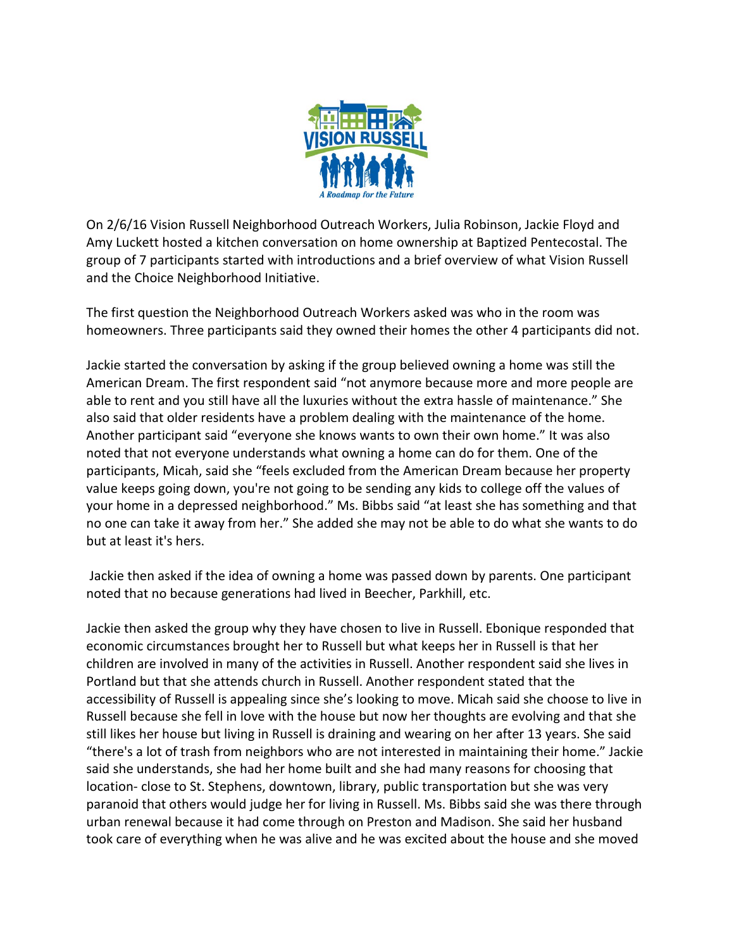

On 2/6/16 Vision Russell Neighborhood Outreach Workers, Julia Robinson, Jackie Floyd and Amy Luckett hosted a kitchen conversation on home ownership at Baptized Pentecostal. The group of 7 participants started with introductions and a brief overview of what Vision Russell and the Choice Neighborhood Initiative.

The first question the Neighborhood Outreach Workers asked was who in the room was homeowners. Three participants said they owned their homes the other 4 participants did not.

Jackie started the conversation by asking if the group believed owning a home was still the American Dream. The first respondent said "not anymore because more and more people are able to rent and you still have all the luxuries without the extra hassle of maintenance." She also said that older residents have a problem dealing with the maintenance of the home. Another participant said "everyone she knows wants to own their own home." It was also noted that not everyone understands what owning a home can do for them. One of the participants, Micah, said she "feels excluded from the American Dream because her property value keeps going down, you're not going to be sending any kids to college off the values of your home in a depressed neighborhood." Ms. Bibbs said "at least she has something and that no one can take it away from her." She added she may not be able to do what she wants to do but at least it's hers.

Jackie then asked if the idea of owning a home was passed down by parents. One participant noted that no because generations had lived in Beecher, Parkhill, etc.

Jackie then asked the group why they have chosen to live in Russell. Ebonique responded that economic circumstances brought her to Russell but what keeps her in Russell is that her children are involved in many of the activities in Russell. Another respondent said she lives in Portland but that she attends church in Russell. Another respondent stated that the accessibility of Russell is appealing since she's looking to move. Micah said she choose to live in Russell because she fell in love with the house but now her thoughts are evolving and that she still likes her house but living in Russell is draining and wearing on her after 13 years. She said "there's a lot of trash from neighbors who are not interested in maintaining their home." Jackie said she understands, she had her home built and she had many reasons for choosing that location- close to St. Stephens, downtown, library, public transportation but she was very paranoid that others would judge her for living in Russell. Ms. Bibbs said she was there through urban renewal because it had come through on Preston and Madison. She said her husband took care of everything when he was alive and he was excited about the house and she moved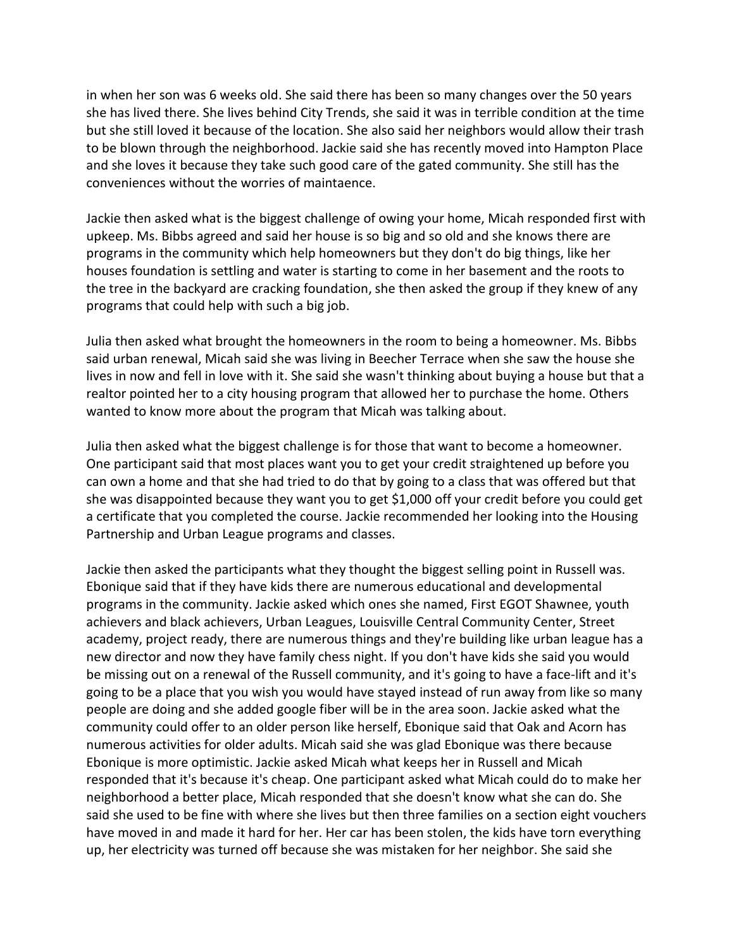in when her son was 6 weeks old. She said there has been so many changes over the 50 years she has lived there. She lives behind City Trends, she said it was in terrible condition at the time but she still loved it because of the location. She also said her neighbors would allow their trash to be blown through the neighborhood. Jackie said she has recently moved into Hampton Place and she loves it because they take such good care of the gated community. She still has the conveniences without the worries of maintaence.

Jackie then asked what is the biggest challenge of owing your home, Micah responded first with upkeep. Ms. Bibbs agreed and said her house is so big and so old and she knows there are programs in the community which help homeowners but they don't do big things, like her houses foundation is settling and water is starting to come in her basement and the roots to the tree in the backyard are cracking foundation, she then asked the group if they knew of any programs that could help with such a big job.

Julia then asked what brought the homeowners in the room to being a homeowner. Ms. Bibbs said urban renewal, Micah said she was living in Beecher Terrace when she saw the house she lives in now and fell in love with it. She said she wasn't thinking about buying a house but that a realtor pointed her to a city housing program that allowed her to purchase the home. Others wanted to know more about the program that Micah was talking about.

Julia then asked what the biggest challenge is for those that want to become a homeowner. One participant said that most places want you to get your credit straightened up before you can own a home and that she had tried to do that by going to a class that was offered but that she was disappointed because they want you to get \$1,000 off your credit before you could get a certificate that you completed the course. Jackie recommended her looking into the Housing Partnership and Urban League programs and classes.

Jackie then asked the participants what they thought the biggest selling point in Russell was. Ebonique said that if they have kids there are numerous educational and developmental programs in the community. Jackie asked which ones she named, First EGOT Shawnee, youth achievers and black achievers, Urban Leagues, Louisville Central Community Center, Street academy, project ready, there are numerous things and they're building like urban league has a new director and now they have family chess night. If you don't have kids she said you would be missing out on a renewal of the Russell community, and it's going to have a face-lift and it's going to be a place that you wish you would have stayed instead of run away from like so many people are doing and she added google fiber will be in the area soon. Jackie asked what the community could offer to an older person like herself, Ebonique said that Oak and Acorn has numerous activities for older adults. Micah said she was glad Ebonique was there because Ebonique is more optimistic. Jackie asked Micah what keeps her in Russell and Micah responded that it's because it's cheap. One participant asked what Micah could do to make her neighborhood a better place, Micah responded that she doesn't know what she can do. She said she used to be fine with where she lives but then three families on a section eight vouchers have moved in and made it hard for her. Her car has been stolen, the kids have torn everything up, her electricity was turned off because she was mistaken for her neighbor. She said she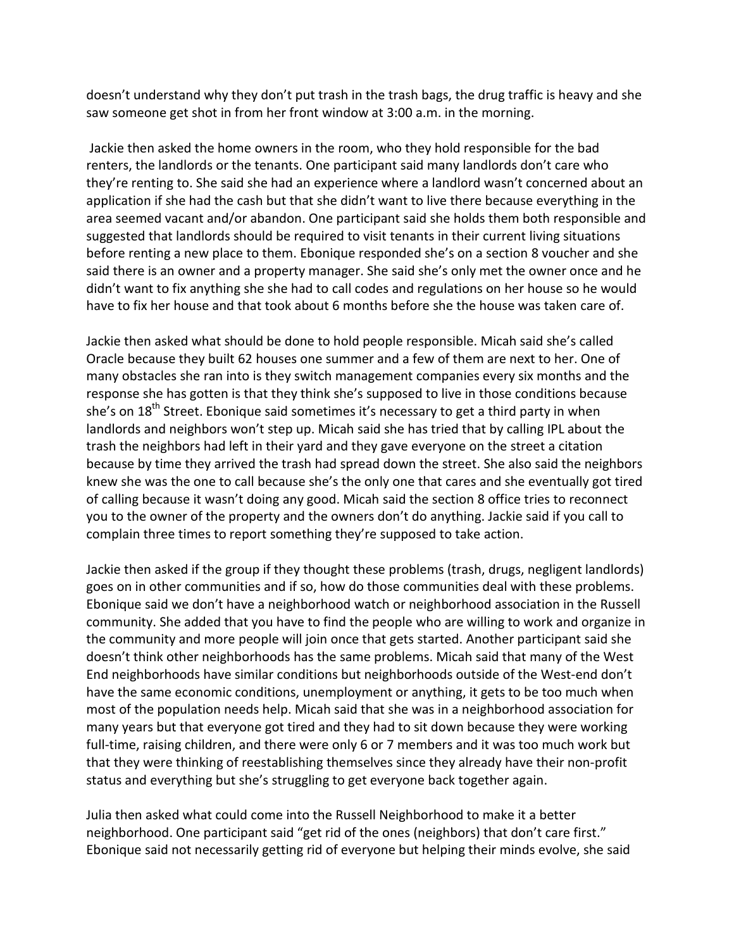doesn't understand why they don't put trash in the trash bags, the drug traffic is heavy and she saw someone get shot in from her front window at 3:00 a.m. in the morning.

Jackie then asked the home owners in the room, who they hold responsible for the bad renters, the landlords or the tenants. One participant said many landlords don't care who they're renting to. She said she had an experience where a landlord wasn't concerned about an application if she had the cash but that she didn't want to live there because everything in the area seemed vacant and/or abandon. One participant said she holds them both responsible and suggested that landlords should be required to visit tenants in their current living situations before renting a new place to them. Ebonique responded she's on a section 8 voucher and she said there is an owner and a property manager. She said she's only met the owner once and he didn't want to fix anything she she had to call codes and regulations on her house so he would have to fix her house and that took about 6 months before she the house was taken care of.

Jackie then asked what should be done to hold people responsible. Micah said she's called Oracle because they built 62 houses one summer and a few of them are next to her. One of many obstacles she ran into is they switch management companies every six months and the response she has gotten is that they think she's supposed to live in those conditions because she's on 18<sup>th</sup> Street. Ebonique said sometimes it's necessary to get a third party in when landlords and neighbors won't step up. Micah said she has tried that by calling IPL about the trash the neighbors had left in their yard and they gave everyone on the street a citation because by time they arrived the trash had spread down the street. She also said the neighbors knew she was the one to call because she's the only one that cares and she eventually got tired of calling because it wasn't doing any good. Micah said the section 8 office tries to reconnect you to the owner of the property and the owners don't do anything. Jackie said if you call to complain three times to report something they're supposed to take action.

Jackie then asked if the group if they thought these problems (trash, drugs, negligent landlords) goes on in other communities and if so, how do those communities deal with these problems. Ebonique said we don't have a neighborhood watch or neighborhood association in the Russell community. She added that you have to find the people who are willing to work and organize in the community and more people will join once that gets started. Another participant said she doesn't think other neighborhoods has the same problems. Micah said that many of the West End neighborhoods have similar conditions but neighborhoods outside of the West-end don't have the same economic conditions, unemployment or anything, it gets to be too much when most of the population needs help. Micah said that she was in a neighborhood association for many years but that everyone got tired and they had to sit down because they were working full-time, raising children, and there were only 6 or 7 members and it was too much work but that they were thinking of reestablishing themselves since they already have their non-profit status and everything but she's struggling to get everyone back together again.

Julia then asked what could come into the Russell Neighborhood to make it a better neighborhood. One participant said "get rid of the ones (neighbors) that don't care first." Ebonique said not necessarily getting rid of everyone but helping their minds evolve, she said